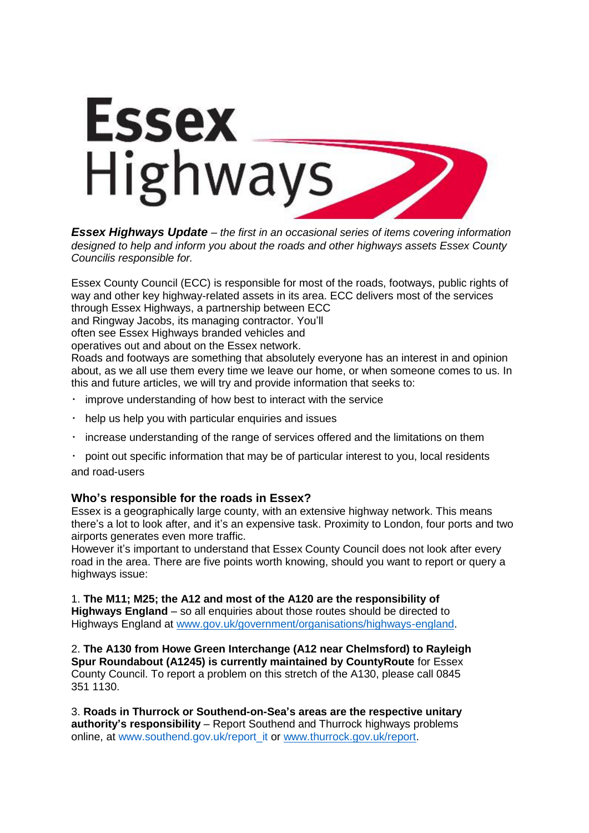

*Essex Highways Update – the first in an occasional series of items covering information designed to help and inform you about the roads and other highways assets Essex County Councilis responsible for.*

Essex County Council (ECC) is responsible for most of the roads, footways, public rights of way and other key highway-related assets in its area. ECC delivers most of the services through Essex Highways, a partnership between ECC

and Ringway Jacobs, its managing contractor. You'll

often see Essex Highways branded vehicles and

operatives out and about on the Essex network.

Roads and footways are something that absolutely everyone has an interest in and opinion about, as we all use them every time we leave our home, or when someone comes to us. In this and future articles, we will try and provide information that seeks to:

- improve understanding of how best to interact with the service
- $\bullet$ help us help you with particular enquiries and issues
- increase understanding of the range of services offered and the limitations on them
- point out specific information that may be of particular interest to you, local residents and road-users

## **Who's responsible for the roads in Essex?**

Essex is a geographically large county, with an extensive highway network. This means there's a lot to look after, and it's an expensive task. Proximity to London, four ports and two airports generates even more traffic.

However it's important to understand that Essex County Council does not look after every road in the area. There are five points worth knowing, should you want to report or query a highways issue:

1. **The M11; M25; the A12 and most of the A120 are the responsibility of Highways England** – so all enquiries about those routes should be directed to Highways England at [www.gov.uk/government/organisations/highways-england.](http://www.gov.uk/government/organisations/highways-england)

2. **The A130 from Howe Green Interchange (A12 near Chelmsford) to Rayleigh Spur Roundabout (A1245) is currently maintained by CountyRoute** for Essex County Council. To report a problem on this stretch of the A130, please call 0845 351 1130.

3. **Roads in Thurrock or Southend-on-Sea's areas are the respective unitary authority's responsibility** – Report Southend and Thurrock highways problems online, at www.southend.gov.uk/report\_it or [www.thurrock.gov.uk/report.](http://www.thurrock.gov.uk/report)